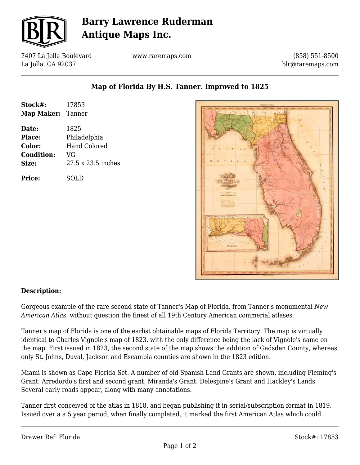

# **Barry Lawrence Ruderman Antique Maps Inc.**

7407 La Jolla Boulevard La Jolla, CA 92037

www.raremaps.com

(858) 551-8500 blr@raremaps.com

| Stock#:           | 17853               |
|-------------------|---------------------|
| Map Maker: Tanner |                     |
| Date:             | 1825                |
| <b>Place:</b>     | Philadelphia        |
| <b>Color:</b>     | <b>Hand Colored</b> |
| <b>Condition:</b> | VG                  |
| Size:             | 27.5 x 23.5 inches  |
| <b>Price:</b>     | SOLD                |

### **Map of Florida By H.S. Tanner. Improved to 1825**



#### **Description:**

Gorgeous example of the rare second state of Tanner's Map of Florida, from Tanner's monumental *New American Atlas*, without question the finest of all 19th Century American commerial atlases.

Tanner's map of Florida is one of the earlist obtainable maps of Florida Territory. The map is virtually identical to Charles Vignole's map of 1823, with the only difference being the lack of Vignole's name on the map. First issued in 1823, the second state of the map shows the addition of Gadsden County, whereas only St. Johns, Duval, Jackson and Escambia counties are shown in the 1823 edition.

Miami is shown as Cape Florida Set. A number of old Spanish Land Grants are shown, including Fleming's Grant, Arredordo's first and second grant, Miranda's Grant, Delespine's Grant and Hackley's Lands. Several early roads appear, along with many annotations.

Tanner first conceived of the atlas in 1818, and began publishing it in serial/subscription format in 1819. Issued over a a 5 year period, when finally completed, it marked the first American Atlas which could